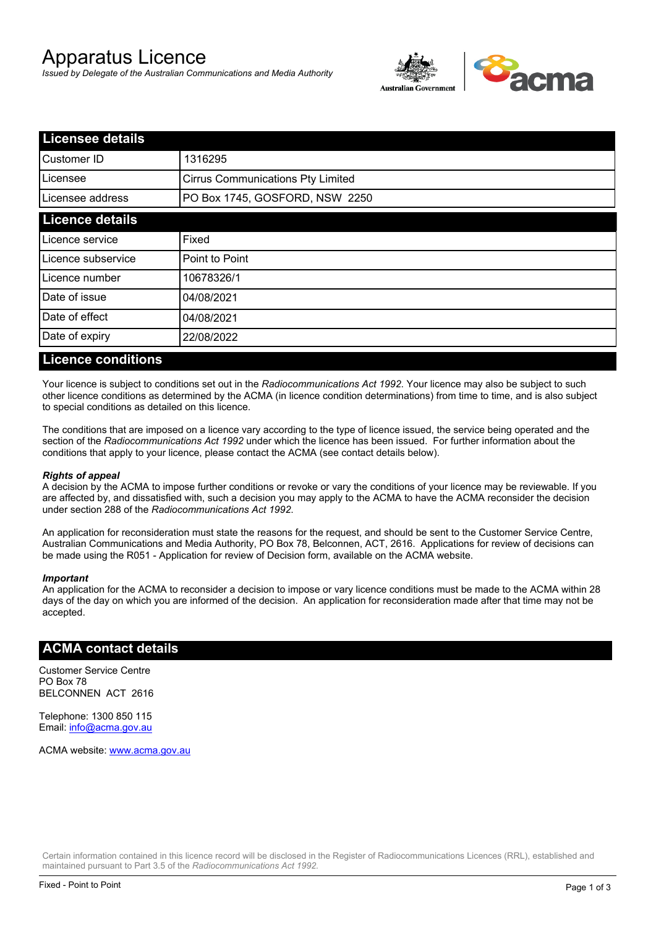# Apparatus Licence

*Issued by Delegate of the Australian Communications and Media Authority*



| <b>Licensee details</b> |                                          |  |
|-------------------------|------------------------------------------|--|
| Customer ID             | 1316295                                  |  |
| Licensee                | <b>Cirrus Communications Pty Limited</b> |  |
| Licensee address        | PO Box 1745, GOSFORD, NSW 2250           |  |
| <b>Licence details</b>  |                                          |  |
| Licence service         | Fixed                                    |  |
| Licence subservice      | Point to Point                           |  |
| Licence number          | 10678326/1                               |  |
| Date of issue           | 04/08/2021                               |  |
| Date of effect          | 04/08/2021                               |  |
| Date of expiry          | 22/08/2022                               |  |
|                         |                                          |  |

### **Licence conditions**

Your licence is subject to conditions set out in the *Radiocommunications Act 1992*. Your licence may also be subject to such other licence conditions as determined by the ACMA (in licence condition determinations) from time to time, and is also subject to special conditions as detailed on this licence.

The conditions that are imposed on a licence vary according to the type of licence issued, the service being operated and the section of the *Radiocommunications Act 1992* under which the licence has been issued. For further information about the conditions that apply to your licence, please contact the ACMA (see contact details below).

### *Rights of appeal*

A decision by the ACMA to impose further conditions or revoke or vary the conditions of your licence may be reviewable. If you are affected by, and dissatisfied with, such a decision you may apply to the ACMA to have the ACMA reconsider the decision under section 288 of the *Radiocommunications Act 1992*.

An application for reconsideration must state the reasons for the request, and should be sent to the Customer Service Centre, Australian Communications and Media Authority, PO Box 78, Belconnen, ACT, 2616. Applications for review of decisions can be made using the R051 - Application for review of Decision form, available on the ACMA website.

#### *Important*

An application for the ACMA to reconsider a decision to impose or vary licence conditions must be made to the ACMA within 28 days of the day on which you are informed of the decision. An application for reconsideration made after that time may not be accepted.

### **ACMA contact details**

Customer Service Centre PO Box 78 BELCONNEN ACT 2616

Telephone: 1300 850 115 Email: info@acma.gov.au

ACMA website: www.acma.gov.au

Certain information contained in this licence record will be disclosed in the Register of Radiocommunications Licences (RRL), established and maintained pursuant to Part 3.5 of the *Radiocommunications Act 1992.*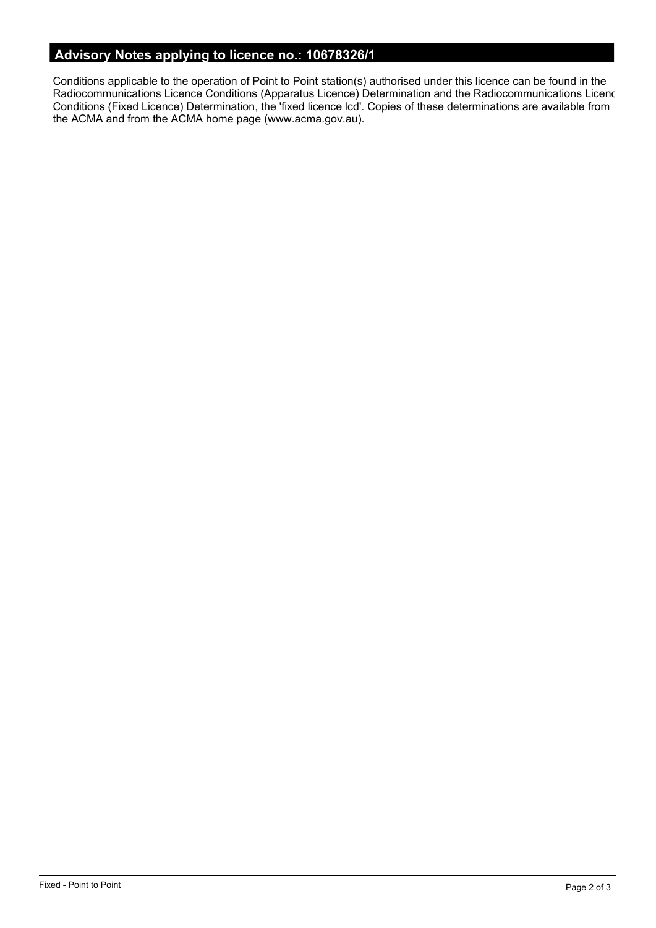# **Advisory Notes applying to licence no.: 10678326/1**

Conditions applicable to the operation of Point to Point station(s) authorised under this licence can be found in the Radiocommunications Licence Conditions (Apparatus Licence) Determination and the Radiocommunications Licence Conditions (Fixed Licence) Determination, the 'fixed licence lcd'. Copies of these determinations are available from the ACMA and from the ACMA home page (www.acma.gov.au).